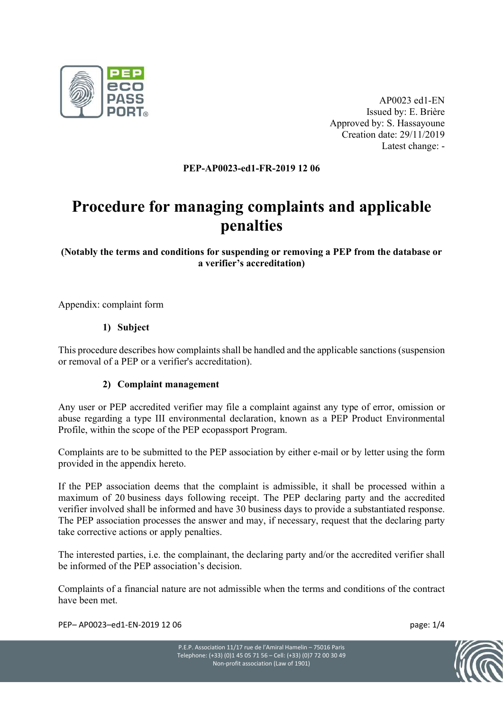

AP0023 ed1-EN Issued by: E. Brière Approved by: S. Hassayoune Creation date: 29/11/2019 Latest change: -

#### PEP-AP0023-ed1-FR-2019 12 06

# Procedure for managing complaints and applicable penalties

# (Notably the terms and conditions for suspending or removing a PEP from the database or a verifier's accreditation)

Appendix: complaint form

## 1) Subject

This procedure describes how complaints shall be handled and the applicable sanctions (suspension or removal of a PEP or a verifier's accreditation).

#### 2) Complaint management

Any user or PEP accredited verifier may file a complaint against any type of error, omission or abuse regarding a type III environmental declaration, known as a PEP Product Environmental Profile, within the scope of the PEP ecopassport Program.

Complaints are to be submitted to the PEP association by either e-mail or by letter using the form provided in the appendix hereto.

If the PEP association deems that the complaint is admissible, it shall be processed within a maximum of 20 business days following receipt. The PEP declaring party and the accredited verifier involved shall be informed and have 30 business days to provide a substantiated response. The PEP association processes the answer and may, if necessary, request that the declaring party take corrective actions or apply penalties.

The interested parties, i.e. the complainant, the declaring party and/or the accredited verifier shall be informed of the PEP association's decision.

Complaints of a financial nature are not admissible when the terms and conditions of the contract have been met.

PEP– AP0023–ed1-EN-2019 12 06 page: 1/4

P.E.P. Association 11/17 rue de l'Amiral Hamelin – 75016 Paris Telephone: (+33) (0)1 45 05 71 56 – Cell: (+33) (0)7 72 00 30 49 Non-profit association (Law of 1901)

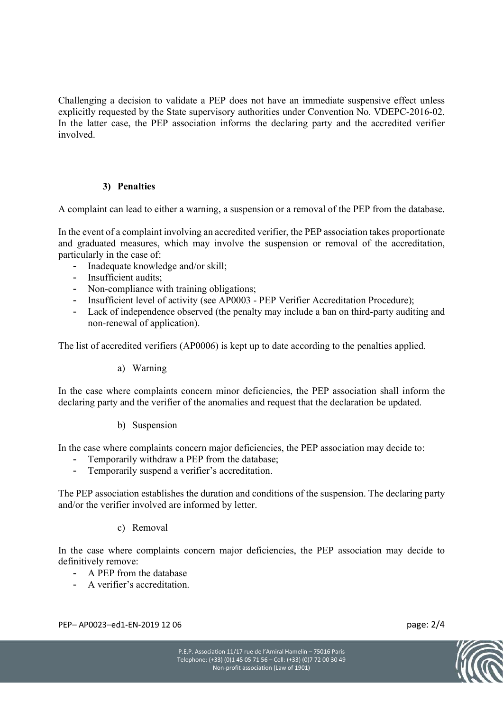Challenging a decision to validate a PEP does not have an immediate suspensive effect unless explicitly requested by the State supervisory authorities under Convention No. VDEPC-2016-02. In the latter case, the PEP association informs the declaring party and the accredited verifier involved.

## 3) Penalties

A complaint can lead to either a warning, a suspension or a removal of the PEP from the database.

In the event of a complaint involving an accredited verifier, the PEP association takes proportionate and graduated measures, which may involve the suspension or removal of the accreditation, particularly in the case of:

- Inadequate knowledge and/or skill;
- Insufficient audits;
- Non-compliance with training obligations;
- Insufficient level of activity (see AP0003 PEP Verifier Accreditation Procedure);
- Lack of independence observed (the penalty may include a ban on third-party auditing and non-renewal of application).

The list of accredited verifiers (AP0006) is kept up to date according to the penalties applied.

#### a) Warning

In the case where complaints concern minor deficiencies, the PEP association shall inform the declaring party and the verifier of the anomalies and request that the declaration be updated.

#### b) Suspension

In the case where complaints concern major deficiencies, the PEP association may decide to:

- Temporarily withdraw a PEP from the database;
- Temporarily suspend a verifier's accreditation.

The PEP association establishes the duration and conditions of the suspension. The declaring party and/or the verifier involved are informed by letter.

#### c) Removal

In the case where complaints concern major deficiencies, the PEP association may decide to definitively remove:

- A PEP from the database
- A verifier's accreditation.

PEP– AP0023–ed1-EN-2019 12 06 page: 2/4

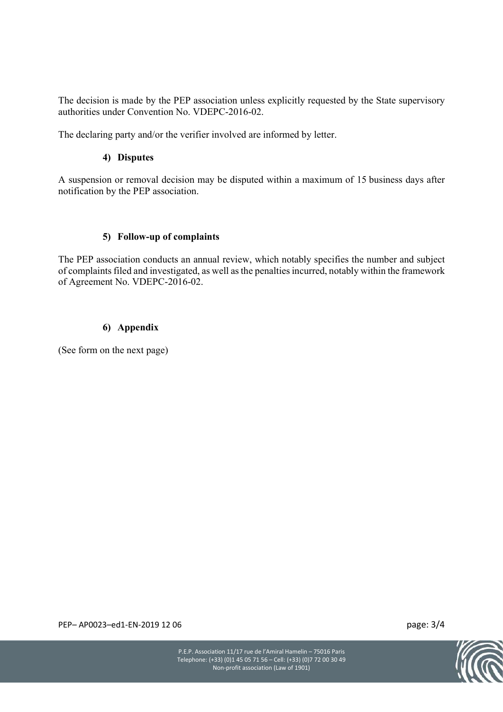The decision is made by the PEP association unless explicitly requested by the State supervisory authorities under Convention No. VDEPC-2016-02.

The declaring party and/or the verifier involved are informed by letter.

#### 4) Disputes

A suspension or removal decision may be disputed within a maximum of 15 business days after notification by the PEP association.

#### 5) Follow-up of complaints

The PEP association conducts an annual review, which notably specifies the number and subject of complaints filed and investigated, as well as the penalties incurred, notably within the framework of Agreement No. VDEPC-2016-02.

#### 6) Appendix

(See form on the next page)

PEP– AP0023–ed1-EN-2019 12 06 page: 3/4

P.E.P. Association 11/17 rue de l'Amiral Hamelin – 75016 Paris Telephone: (+33) (0)1 45 05 71 56 – Cell: (+33) (0)7 72 00 30 49 Non-profit association (Law of 1901)